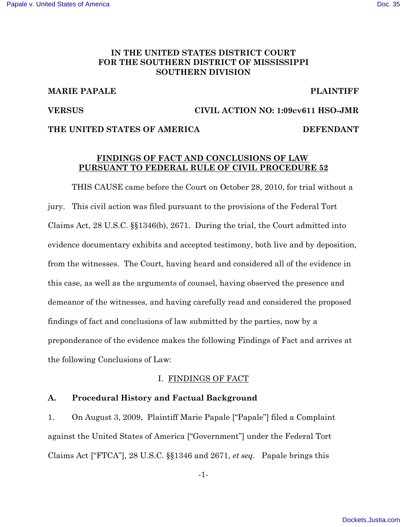# IN THE UNITED STATES DISTRICT COURT FOR THE SOUTHERN DISTRICT OF MISSISSIPPI **SOUTHERN DIVISION**

# **MARIE PAPALE**

# **PLAINTIFF**

## **VERSUS**

## CIVIL ACTION NO: 1:09cv611 HSO-JMR

## THE UNITED STATES OF AMERICA

## **DEFENDANT**

# FINDINGS OF FACT AND CONCLUSIONS OF LAW PURSUANT TO FEDERAL RULE OF CIVIL PROCEDURE 52

THIS CAUSE came before the Court on October 28, 2010, for trial without a jury. This civil action was filed pursuant to the provisions of the Federal Tort Claims Act, 28 U.S.C.  $\S$  $1346(b)$ , 2671. During the trial, the Court admitted into evidence documentary exhibits and accepted testimony, both live and by deposition, from the witnesses. The Court, having heard and considered all of the evidence in this case, as well as the arguments of counsel, having observed the presence and demeanor of the witnesses, and having carefully read and considered the proposed findings of fact and conclusions of law submitted by the parties, now by a preponderance of the evidence makes the following Findings of Fact and arrives at the following Conclusions of Law:

# I. FINDINGS OF FACT

### $\mathbf{A}$ . **Procedural History and Factual Background**

 $1<sub>1</sub>$ On August 3, 2009, Plaintiff Marie Papale ["Papale"] filed a Complaint against the United States of America ["Government"] under the Federal Tort Claims Act ["FTCA"], 28 U.S.C. §§1346 and 2671, *et seq.* Papale brings this

 $-1-$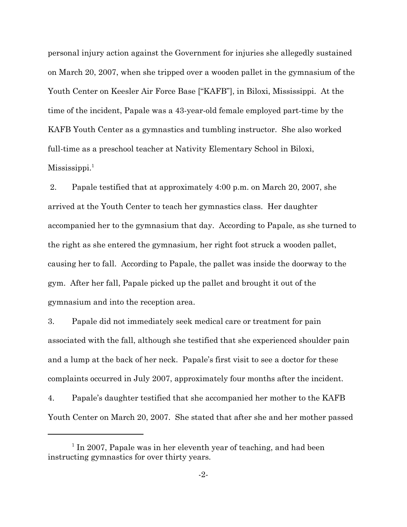personal injury action against the Government for injuries she allegedly sustained on March 20, 2007, when she tripped over a wooden pallet in the gymnasium of the Youth Center on Keesler Air Force Base ["KAFB"], in Biloxi, Mississippi. At the time of the incident, Papale was a 43-year-old female employed part-time by the KAFB Youth Center as a gymnastics and tumbling instructor. She also worked full-time as a preschool teacher at Nativity Elementary School in Biloxi,  $Mississippi.<sup>1</sup>$ 

2. Papale testified that at approximately 4:00 p.m. on March 20, 2007, she arrived at the Youth Center to teach her gymnastics class. Her daughter accompanied her to the gymnasium that day. According to Papale, as she turned to the right as she entered the gymnasium, her right foot struck a wooden pallet, causing her to fall. According to Papale, the pallet was inside the doorway to the gym. After her fall, Papale picked up the pallet and brought it out of the gymnasium and into the reception area.

3. Papale did not immediately seek medical care or treatment for pain associated with the fall, although she testified that she experienced shoulder pain and a lump at the back of her neck. Papale's first visit to see a doctor for these complaints occurred in July 2007, approximately four months after the incident.

Papale's daughter testified that she accompanied her mother to the KAFB 4. Youth Center on March 20, 2007. She stated that after she and her mother passed

 $1$  In 2007, Papale was in her eleventh year of teaching, and had been instructing gymnastics for over thirty years.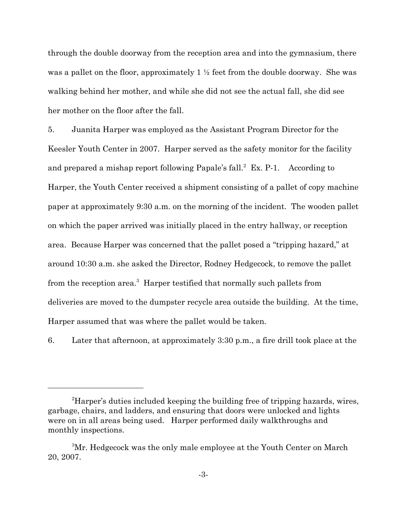through the double doorway from the reception area and into the gymnasium, there was a pallet on the floor, approximately  $1 \frac{1}{2}$  feet from the double doorway. She was walking behind her mother, and while she did not see the actual fall, she did see her mother on the floor after the fall.

 $5<sub>1</sub>$ Juanita Harper was employed as the Assistant Program Director for the Keesler Youth Center in 2007. Harper served as the safety monitor for the facility and prepared a mishap report following Papale's fall.<sup>2</sup> Ex. P-1. According to Harper, the Youth Center received a shipment consisting of a pallet of copy machine paper at approximately 9:30 a.m. on the morning of the incident. The wooden pallet on which the paper arrived was initially placed in the entry hallway, or reception area. Because Harper was concerned that the pallet posed a "tripping hazard," at around 10:30 a.m. she asked the Director, Rodney Hedgecock, to remove the pallet from the reception area.<sup>3</sup> Harper testified that normally such pallets from deliveries are moved to the dumpster recycle area outside the building. At the time, Harper assumed that was where the pallet would be taken.

6. Later that afternoon, at approximately 3:30 p.m., a fire drill took place at the

<sup>&</sup>lt;sup>2</sup>Harper's duties included keeping the building free of tripping hazards, wires, garbage, chairs, and ladders, and ensuring that doors were unlocked and lights were on in all areas being used. Harper performed daily walkthroughs and monthly inspections.

<sup>&</sup>lt;sup>3</sup>Mr. Hedgecock was the only male employee at the Youth Center on March 20, 2007.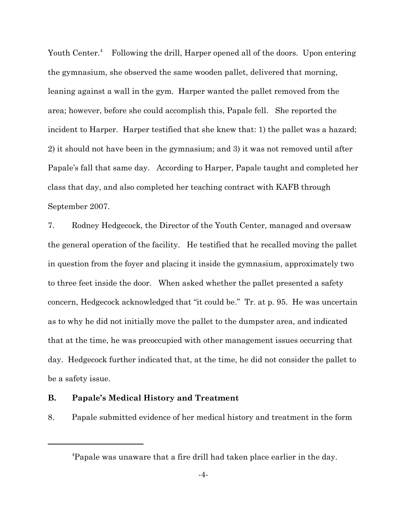Youth Center.<sup>4</sup> Following the drill, Harper opened all of the doors. Upon entering the gymnasium, she observed the same wooden pallet, delivered that morning, leaning against a wall in the gym. Harper wanted the pallet removed from the area; however, before she could accomplish this, Papale fell. She reported the incident to Harper. Harper testified that she knew that: 1) the pallet was a hazard; 2) it should not have been in the gymnasium; and 3) it was not removed until after Papale's fall that same day. According to Harper, Papale taught and completed her class that day, and also completed her teaching contract with KAFB through September 2007.

 $7.$ Rodney Hedgecock, the Director of the Youth Center, managed and oversaw the general operation of the facility. He testified that he recalled moving the pallet in question from the foyer and placing it inside the gymnasium, approximately two to three feet inside the door. When asked whether the pallet presented a safety concern, Hedgecock acknowledged that "it could be." Tr. at p. 95. He was uncertain as to why he did not initially move the pallet to the dumpster area, and indicated that at the time, he was preoccupied with other management issues occurring that day. Hedgecock further indicated that, at the time, he did not consider the pallet to be a safety issue.

#### **B. Papale's Medical History and Treatment**

8. Papale submitted evidence of her medical history and treatment in the form

<sup>&</sup>lt;sup>4</sup>Papale was unaware that a fire drill had taken place earlier in the day.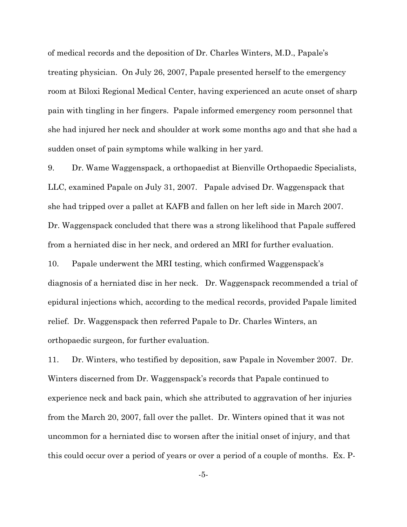of medical records and the deposition of Dr. Charles Winters, M.D., Papale's treating physician. On July 26, 2007, Papale presented herself to the emergency room at Biloxi Regional Medical Center, having experienced an acute onset of sharp pain with tingling in her fingers. Papale informed emergency room personnel that she had injured her neck and shoulder at work some months ago and that she had a sudden onset of pain symptoms while walking in her yard.

9. Dr. Wame Waggenspack, a orthopaedist at Bienville Orthopaedic Specialists, LLC, examined Papale on July 31, 2007. Papale advised Dr. Waggenspack that she had tripped over a pallet at KAFB and fallen on her left side in March 2007. Dr. Waggenspack concluded that there was a strong likelihood that Papale suffered from a herniated disc in her neck, and ordered an MRI for further evaluation.

10. Papale underwent the MRI testing, which confirmed Waggenspack's diagnosis of a herniated disc in her neck. Dr. Waggenspack recommended a trial of epidural injections which, according to the medical records, provided Papale limited relief. Dr. Waggenspack then referred Papale to Dr. Charles Winters, an orthopaedic surgeon, for further evaluation.

11. Dr. Winters, who testified by deposition, saw Papale in November 2007. Dr. Winters discerned from Dr. Waggenspack's records that Papale continued to experience neck and back pain, which she attributed to aggravation of her injuries from the March 20, 2007, fall over the pallet. Dr. Winters opined that it was not uncommon for a herniated disc to worsen after the initial onset of injury, and that this could occur over a period of years or over a period of a couple of months. Ex. P-

 $-5-$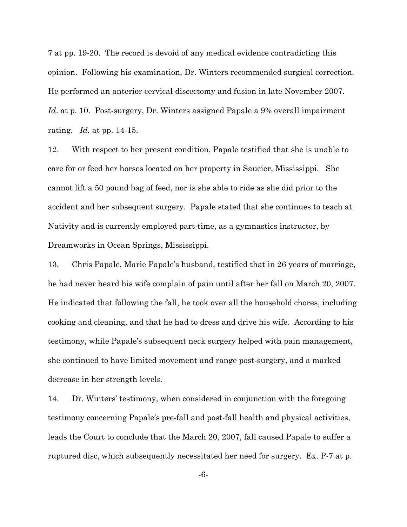7 at pp. 19-20. The record is devoid of any medical evidence contradicting this opinion. Following his examination, Dr. Winters recommended surgical correction. He performed an anterior cervical discectomy and fusion in late November 2007. Id. at p. 10. Post-surgery, Dr. Winters assigned Papale a 9% overall impairment rating. Id. at pp. 14-15.

12. With respect to her present condition, Papale testified that she is unable to care for or feed her horses located on her property in Saucier, Mississippi. She cannot lift a 50 pound bag of feed, nor is she able to ride as she did prior to the accident and her subsequent surgery. Papale stated that she continues to teach at Nativity and is currently employed part-time, as a gymnastics instructor, by Dreamworks in Ocean Springs, Mississippi.

13. Chris Papale, Marie Papale's husband, testified that in 26 years of marriage, he had never heard his wife complain of pain until after her fall on March 20, 2007. He indicated that following the fall, he took over all the household chores, including cooking and cleaning, and that he had to dress and drive his wife. According to his testimony, while Papale's subsequent neck surgery helped with pain management, she continued to have limited movement and range post-surgery, and a marked decrease in her strength levels.

Dr. Winters' testimony, when considered in conjunction with the foregoing 14. testimony concerning Papale's pre-fall and post-fall health and physical activities, leads the Court to conclude that the March 20, 2007, fall caused Papale to suffer a ruptured disc, which subsequently necessitated her need for surgery. Ex. P-7 at p.

 $-6-$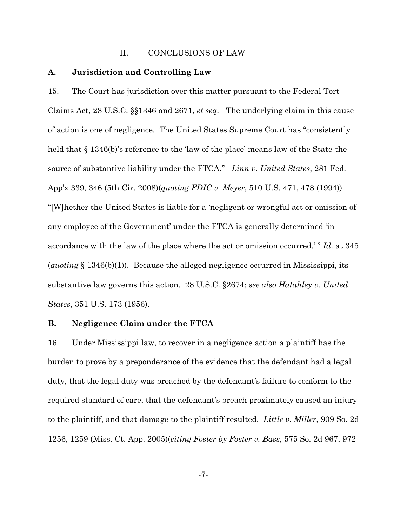#### П. **CONCLUSIONS OF LAW**

#### A. Jurisdiction and Controlling Law

15. The Court has jurisdiction over this matter pursuant to the Federal Tort Claims Act, 28 U.S.C.  $\S1346$  and 2671, *et seq.* The underlying claim in this cause of action is one of negligence. The United States Supreme Court has "consistently" held that  $\S 1346(b)$ 's reference to the 'law of the place' means law of the State-the source of substantive liability under the FTCA." Linn v. United States, 281 Fed. App'x 339, 346 (5th Cir. 2008)(quoting FDIC v. Meyer, 510 U.S. 471, 478 (1994)). "[W] hether the United States is liable for a 'negligent or wrongful act or omission of any employee of the Government' under the FTCA is generally determined 'in accordance with the law of the place where the act or omission occurred.'" Id. at 345  $(quoting \S 1346(b)(1))$ . Because the alleged negligence occurred in Mississippi, its substantive law governs this action. 28 U.S.C. §2674; see also Hatahley v. United *States*, 351 U.S. 173 (1956).

#### **B.** Negligence Claim under the FTCA

16. Under Mississippi law, to recover in a negligence action a plaintiff has the burden to prove by a preponderance of the evidence that the defendant had a legal duty, that the legal duty was breached by the defendant's failure to conform to the required standard of care, that the defendant's breach proximately caused an injury to the plaintiff, and that damage to the plaintiff resulted. Little v. Miller, 909 So. 2d 1256, 1259 (Miss. Ct. App. 2005) *(citing Foster by Foster v. Bass,* 575 So. 2d 967, 972

 $-7-$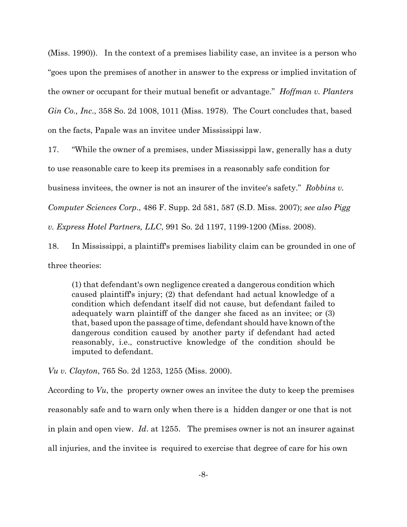(Miss. 1990). In the context of a premises liability case, an invitee is a person who "goes upon the premises of another in answer to the express or implied invitation of the owner or occupant for their mutual benefit or advantage." *Hoffman v. Planters*  $Gin Co., Inc., 358$  So. 2d 1008, 1011 (Miss. 1978). The Court concludes that, based on the facts, Papale was an invitee under Mississippi law.

17. "While the owner of a premises, under Mississippi law, generally has a duty

to use reasonable care to keep its premises in a reasonably safe condition for

business invitees, the owner is not an insurer of the invitee's safety." Robbins v.

Computer Sciences Corp., 486 F. Supp. 2d 581, 587 (S.D. Miss. 2007); see also Pigg

v. Express Hotel Partners, LLC, 991 So. 2d 1197, 1199-1200 (Miss. 2008).

18. In Mississippi, a plaintiff's premises liability claim can be grounded in one of three theories:

(1) that defendant's own negligence created a dangerous condition which caused plaintiff's injury; (2) that defendant had actual knowledge of a condition which defendant itself did not cause, but defendant failed to adequately warn plaintiff of the danger she faced as an invitee; or (3) that, based upon the passage of time, defendant should have known of the dangerous condition caused by another party if defendant had acted reasonably, *i.e.*, constructive knowledge of the condition should be imputed to defendant.

*Vu v. Clayton, 765 So. 2d 1253, 1255 (Miss. 2000).* 

According to Vu, the property owner owes an invitee the duty to keep the premises reasonably safe and to warn only when there is a hidden danger or one that is not in plain and open view. Id. at 1255. The premises owner is not an insurer against all injuries, and the invitee is required to exercise that degree of care for his own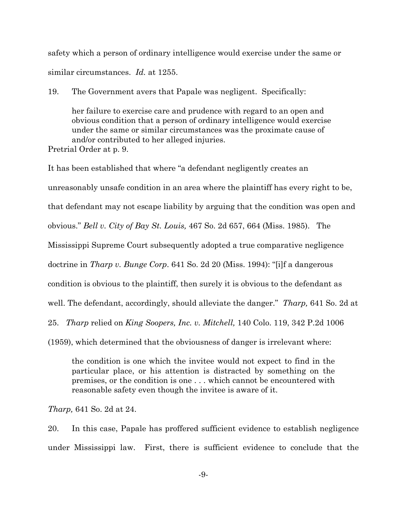safety which a person of ordinary intelligence would exercise under the same or similar circumstances.  $Id$  at 1255.

19. The Government avers that Papale was negligent. Specifically:

her failure to exercise care and prudence with regard to an open and obvious condition that a person of ordinary intelligence would exercise under the same or similar circumstances was the proximate cause of and/or contributed to her alleged injuries. Pretrial Order at p. 9.

It has been established that where "a defendant negligently creates an unreasonably unsafe condition in an area where the plaintiff has every right to be, that defendant may not escape liability by arguing that the condition was open and obvious." Bell v. City of Bay St. Louis, 467 So. 2d 657, 664 (Miss. 1985). The Mississippi Supreme Court subsequently adopted a true comparative negligence doctrine in *Tharp v. Bunge Corp.* 641 So. 2d 20 (Miss. 1994): "[i]f a dangerous condition is obvious to the plaintiff, then surely it is obvious to the defendant as well. The defendant, accordingly, should alleviate the danger." Tharp, 641 So. 2d at 25. *Tharp* relied on *King Soopers, Inc. v. Mitchell*, 140 Colo. 119, 342 P.2d 1006 (1959), which determined that the obviousness of danger is irrelevant where:

the condition is one which the invitee would not expect to find in the particular place, or his attention is distracted by something on the premises, or the condition is one . . . which cannot be encountered with reasonable safety even though the invitee is aware of it.

*Tharp*, 641 So. 2d at 24.

20. In this case, Papale has proffered sufficient evidence to establish negligence under Mississippi law. First, there is sufficient evidence to conclude that the

 $-9-$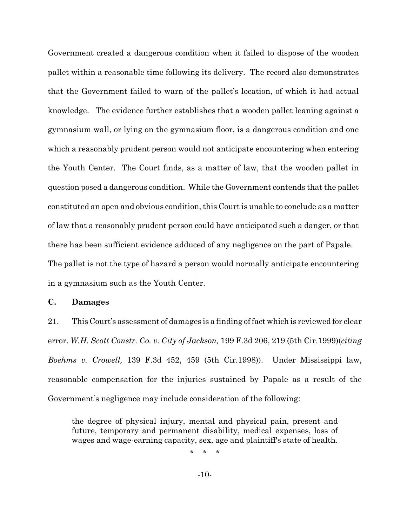Government created a dangerous condition when it failed to dispose of the wooden pallet within a reasonable time following its delivery. The record also demonstrates that the Government failed to warn of the pallet's location, of which it had actual knowledge. The evidence further establishes that a wooden pallet leaning against a gymnasium wall, or lying on the gymnasium floor, is a dangerous condition and one which a reasonably prudent person would not anticipate encountering when entering the Youth Center. The Court finds, as a matter of law, that the wooden pallet in question posed a dangerous condition. While the Government contends that the pallet constituted an open and obvious condition, this Court is unable to conclude as a matter of law that a reasonably prudent person could have anticipated such a danger, or that there has been sufficient evidence adduced of any negligence on the part of Papale. The pallet is not the type of hazard a person would normally anticipate encountering in a gymnasium such as the Youth Center.

### $C_{\bullet}$ **Damages**

21. This Court's assessment of damages is a finding of fact which is reviewed for clear error. W.H. Scott Constr. Co. v. City of Jackson, 199 F.3d 206, 219 (5th Cir. 1999) (citing Boehms v. Crowell, 139 F.3d 452, 459 (5th Cir.1998)). Under Mississippi law, reasonable compensation for the injuries sustained by Papale as a result of the Government's negligence may include consideration of the following:

the degree of physical injury, mental and physical pain, present and future, temporary and permanent disability, medical expenses, loss of wages and wage-earning capacity, sex, age and plaintiff's state of health.

 $\ddot{\phantom{0}}$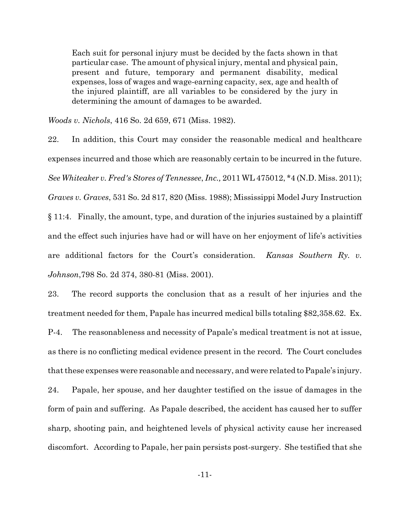Each suit for personal injury must be decided by the facts shown in that particular case. The amount of physical injury, mental and physical pain, present and future, temporary and permanent disability, medical expenses, loss of wages and wage-earning capacity, sex, age and health of the injured plaintiff, are all variables to be considered by the jury in determining the amount of damages to be awarded.

Woods v. Nichols, 416 So. 2d 659, 671 (Miss. 1982).

22. In addition, this Court may consider the reasonable medical and healthcare expenses incurred and those which are reasonably certain to be incurred in the future. See Whiteaker v. Fred's Stores of Tennessee, Inc., 2011 WL 475012, \*4 (N.D. Miss. 2011); Graves v. Graves, 531 So. 2d 817, 820 (Miss. 1988); Mississippi Model Jury Instruction  $§$  11:4. Finally, the amount, type, and duration of the injuries sustained by a plaintiff and the effect such injuries have had or will have on her enjoyment of life's activities are additional factors for the Court's consideration. Kansas Southern Ry. v. *Johnson*, 798 So. 2d 374, 380-81 (Miss. 2001).

23. The record supports the conclusion that as a result of her injuries and the treatment needed for them, Papale has incurred medical bills totaling \$82,358.62. Ex.  $P-4$ The reasonableness and necessity of Papale's medical treatment is not at issue, as there is no conflicting medical evidence present in the record. The Court concludes that these expenses were reasonable and necessary, and were related to Papale's injury. 24. Papale, her spouse, and her daughter testified on the issue of damages in the form of pain and suffering. As Papale described, the accident has caused her to suffer sharp, shooting pain, and heightened levels of physical activity cause her increased discomfort. According to Papale, her pain persists post-surgery. She testified that she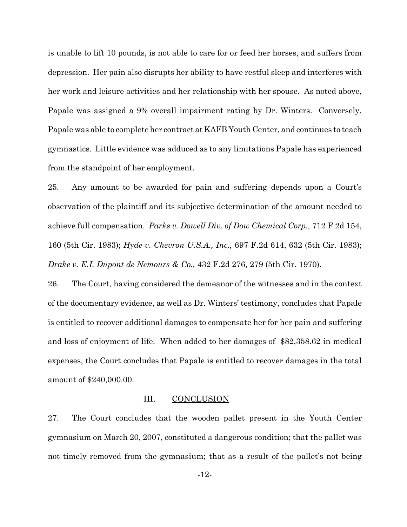is unable to lift 10 pounds, is not able to care for or feed her horses, and suffers from depression. Her pain also disrupts her ability to have restful sleep and interferes with her work and leisure activities and her relationship with her spouse. As noted above, Papale was assigned a 9% overall impairment rating by Dr. Winters. Conversely, Papale was able to complete her contract at KAFB Youth Center, and continues to teach gymnastics. Little evidence was adduced as to any limitations Papale has experienced from the standpoint of her employment.

25. Any amount to be awarded for pain and suffering depends upon a Court's observation of the plaintiff and its subjective determination of the amount needed to achieve full compensation. Parks v. Dowell Div. of Dow Chemical Corp., 712 F.2d 154, 160 (5th Cir. 1983); Hyde v. Chevron U.S.A., Inc., 697 F.2d 614, 632 (5th Cir. 1983); Drake v. E.I. Dupont de Nemours & Co., 432 F.2d 276, 279 (5th Cir. 1970).

26. The Court, having considered the demeanor of the witnesses and in the context of the documentary evidence, as well as Dr. Winters' testimony, concludes that Papale is entitled to recover additional damages to compensate her for her pain and suffering and loss of enjoyment of life. When added to her damages of \$82,358.62 in medical expenses, the Court concludes that Papale is entitled to recover damages in the total amount of \$240,000.00.

#### III. **CONCLUSION**

27. The Court concludes that the wooden pallet present in the Youth Center gymnasium on March 20, 2007, constituted a dangerous condition; that the pallet was not timely removed from the gymnasium; that as a result of the pallet's not being